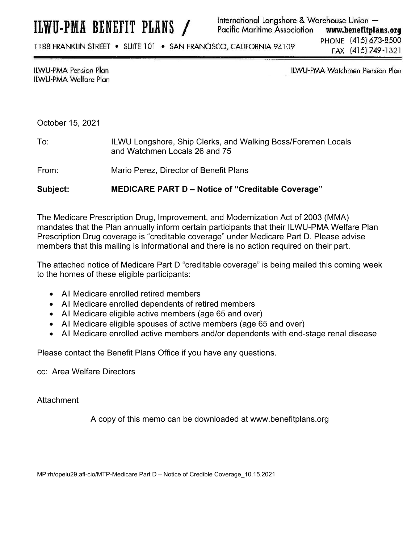1188 FRANKLIN STREET . SUITE 101 . SAN FRANCISCO, CALIFORNIA 94109

PHONE (415) 673-8500 FAX (415) 749-1321

## **ILWU-PMA Pension Plan** ILWU-PMA Welfare Plan

ILWU-PMA Watchmen Pension Plan

## October 15, 2021

- To: ILWU Longshore, Ship Clerks, and Walking Boss/Foremen Locals and Watchmen Locals 26 and 75
- From: Mario Perez, Director of Benefit Plans

**Subject: MEDICARE PART D – Notice of "Creditable Coverage"** 

The Medicare Prescription Drug, Improvement, and Modernization Act of 2003 (MMA) mandates that the Plan annually inform certain participants that their ILWU-PMA Welfare Plan Prescription Drug coverage is "creditable coverage" under Medicare Part D. Please advise members that this mailing is informational and there is no action required on their part.

The attached notice of Medicare Part D "creditable coverage" is being mailed this coming week to the homes of these eligible participants:

- All Medicare enrolled retired members
- All Medicare enrolled dependents of retired members
- All Medicare eligible active members (age 65 and over)
- All Medicare eligible spouses of active members (age 65 and over)
- All Medicare enrolled active members and/or dependents with end-stage renal disease

Please contact the Benefit Plans Office if you have any questions.

cc: Area Welfare Directors

Attachment

A copy of this memo can be downloaded at www.benefitplans.org

MP:rh/opeiu29,afl-cio/MTP-Medicare Part D – Notice of Credible Coverage\_10.15.2021